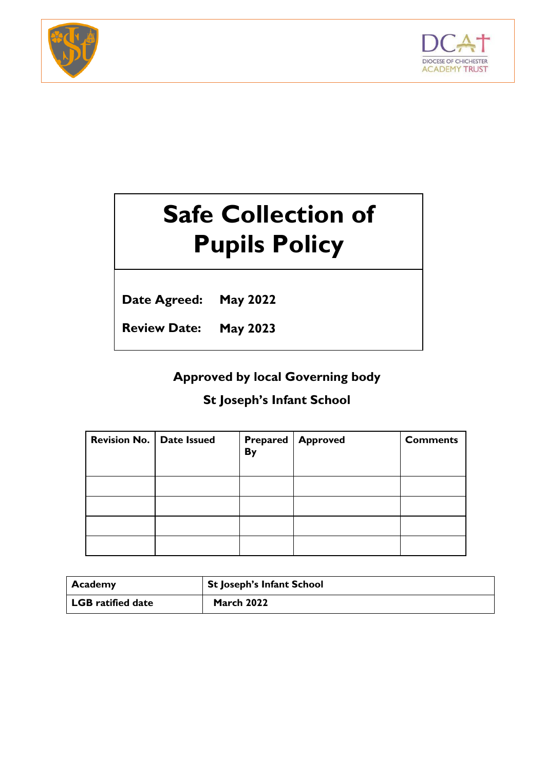



# **Safe Collection of Pupils Policy**

**Date Agreed: May 2022**

**Review Date: May 2023**

# **Approved by local Governing body**

# **St Joseph's Infant School**

| <b>Revision No.   Date Issued</b> | <b>By</b> | <b>Prepared   Approved</b> | <b>Comments</b> |
|-----------------------------------|-----------|----------------------------|-----------------|
|                                   |           |                            |                 |
|                                   |           |                            |                 |
|                                   |           |                            |                 |
|                                   |           |                            |                 |

| Academy                  | <sup>1</sup> St Joseph's Infant School |
|--------------------------|----------------------------------------|
| <b>LGB</b> ratified date | <b>March 2022</b>                      |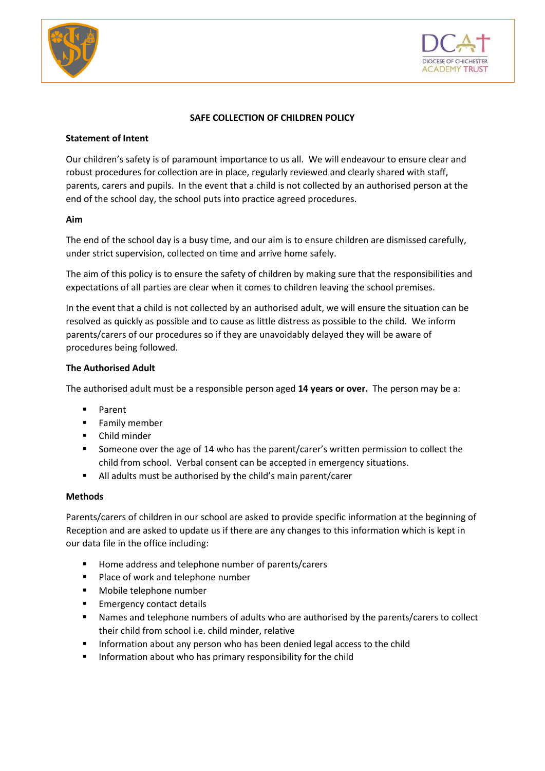



# **SAFE COLLECTION OF CHILDREN POLICY**

#### **Statement of Intent**

Our children's safety is of paramount importance to us all. We will endeavour to ensure clear and robust procedures for collection are in place, regularly reviewed and clearly shared with staff, parents, carers and pupils. In the event that a child is not collected by an authorised person at the end of the school day, the school puts into practice agreed procedures.

# **Aim**

The end of the school day is a busy time, and our aim is to ensure children are dismissed carefully, under strict supervision, collected on time and arrive home safely.

The aim of this policy is to ensure the safety of children by making sure that the responsibilities and expectations of all parties are clear when it comes to children leaving the school premises.

In the event that a child is not collected by an authorised adult, we will ensure the situation can be resolved as quickly as possible and to cause as little distress as possible to the child. We inform parents/carers of our procedures so if they are unavoidably delayed they will be aware of procedures being followed.

# **The Authorised Adult**

The authorised adult must be a responsible person aged **14 years or over.** The person may be a:

- Parent
- **Family member**
- **•** Child minder
- **Someone over the age of 14 who has the parent/carer's written permission to collect the** child from school. Verbal consent can be accepted in emergency situations.
- All adults must be authorised by the child's main parent/carer

#### **Methods**

Parents/carers of children in our school are asked to provide specific information at the beginning of Reception and are asked to update us if there are any changes to this information which is kept in our data file in the office including:

- Home address and telephone number of parents/carers
- **Place of work and telephone number**
- **Nobile telephone number**
- **Emergency contact details**
- Names and telephone numbers of adults who are authorised by the parents/carers to collect their child from school i.e. child minder, relative
- **Information about any person who has been denied legal access to the child Integrate**
- Information about who has primary responsibility for the child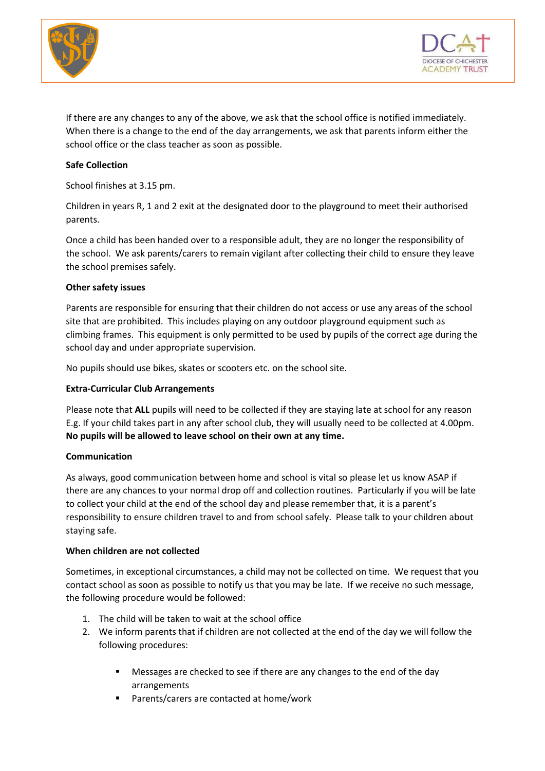



If there are any changes to any of the above, we ask that the school office is notified immediately. When there is a change to the end of the day arrangements, we ask that parents inform either the school office or the class teacher as soon as possible.

#### **Safe Collection**

School finishes at 3.15 pm.

Children in years R, 1 and 2 exit at the designated door to the playground to meet their authorised parents.

Once a child has been handed over to a responsible adult, they are no longer the responsibility of the school. We ask parents/carers to remain vigilant after collecting their child to ensure they leave the school premises safely.

#### **Other safety issues**

Parents are responsible for ensuring that their children do not access or use any areas of the school site that are prohibited. This includes playing on any outdoor playground equipment such as climbing frames. This equipment is only permitted to be used by pupils of the correct age during the school day and under appropriate supervision.

No pupils should use bikes, skates or scooters etc. on the school site.

#### **Extra-Curricular Club Arrangements**

Please note that **ALL** pupils will need to be collected if they are staying late at school for any reason E.g. If your child takes part in any after school club, they will usually need to be collected at 4.00pm. **No pupils will be allowed to leave school on their own at any time.**

#### **Communication**

As always, good communication between home and school is vital so please let us know ASAP if there are any chances to your normal drop off and collection routines. Particularly if you will be late to collect your child at the end of the school day and please remember that, it is a parent's responsibility to ensure children travel to and from school safely. Please talk to your children about staying safe.

#### **When children are not collected**

Sometimes, in exceptional circumstances, a child may not be collected on time. We request that you contact school as soon as possible to notify us that you may be late. If we receive no such message, the following procedure would be followed:

- 1. The child will be taken to wait at the school office
- 2. We inform parents that if children are not collected at the end of the day we will follow the following procedures:
	- Messages are checked to see if there are any changes to the end of the day arrangements
	- Parents/carers are contacted at home/work